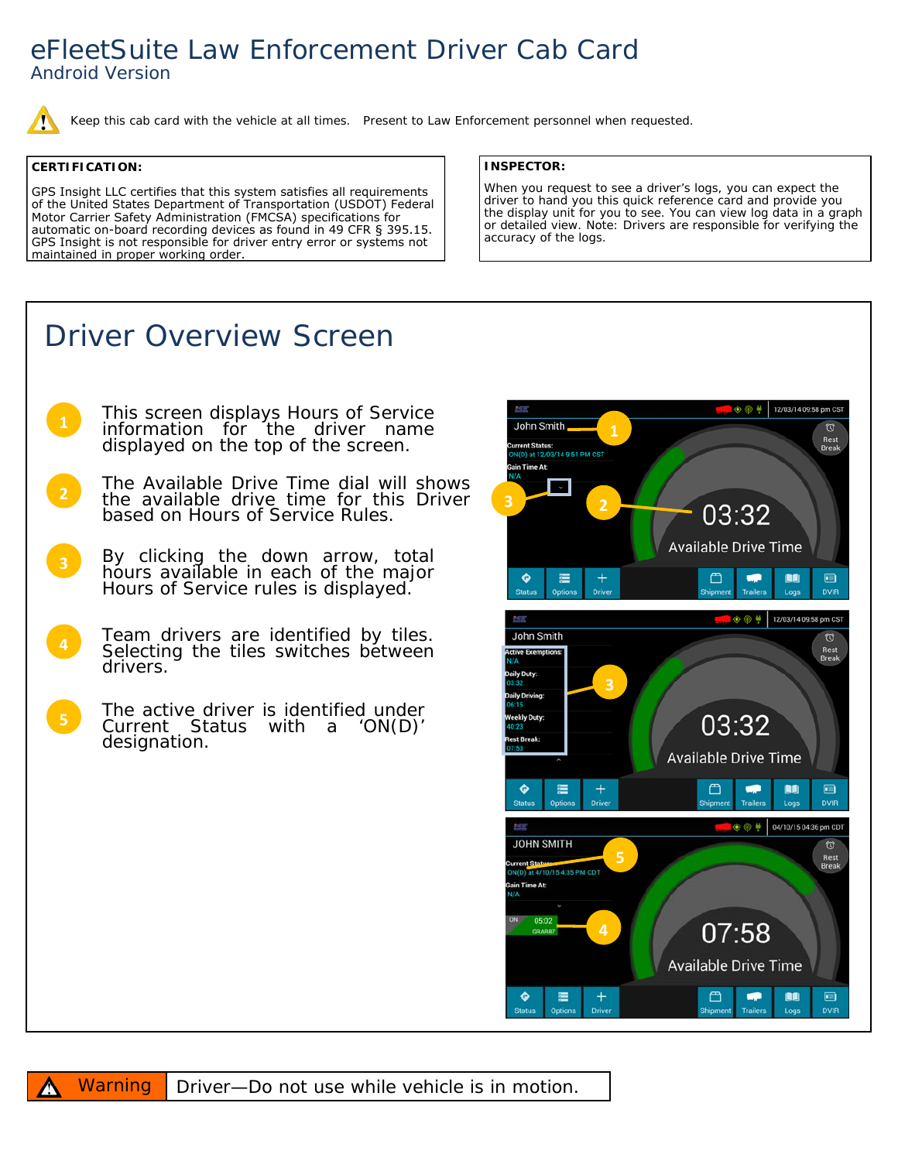## eFleetSuite Law Enforcement Driver Cab Card *Android Version*

Keep this cab card with the vehicle at all times. Present to Law Enforcement personnel when requested.

## **CERTIFICATION:**

GPS Insight LLC certifies that this system satisfies all requirements of the United States Department of Transportation (USDOT) Federal Motor Carrier Safety Administration (FMCSA) specifications for automatic on-board recording devices as found in 49 CFR § 395.15. GPS Insight is not responsible for driver entry error or systems not maintained in proper working order.

## **INSPECTOR:**

When you request to see a driver's logs, you can expect the driver to hand you this quick reference card and provide you the display unit for you to see. You can view log data in a graph or detailed view. Note: Drivers are responsible for verifying the accuracy of the logs.